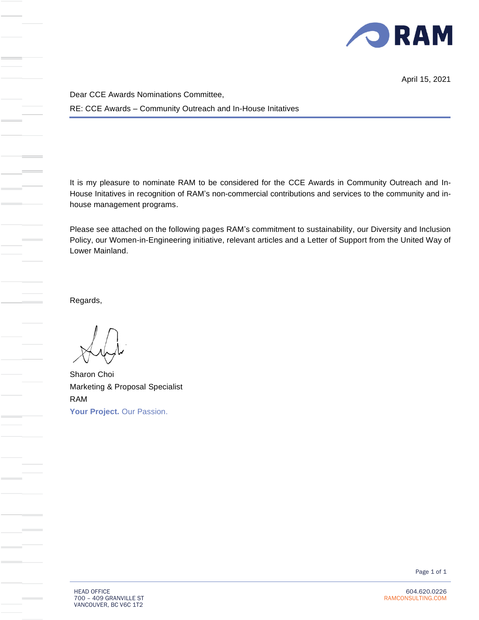

April 15, 2021

Dear CCE Awards Nominations Committee, RE: CCE Awards – Community Outreach and In-House Initatives

It is my pleasure to nominate RAM to be considered for the CCE Awards in Community Outreach and In-House Initatives in recognition of RAM's non-commercial contributions and services to the community and inhouse management programs.

Please see attached on the following pages RAM's commitment to sustainability, our Diversity and Inclusion Policy, our Women-in-Engineering initiative, relevant articles and a Letter of Support from the United Way of Lower Mainland.

Regards,

Sharon Choi Marketing & Proposal Specialist RAM **Your Project.** Our Passion.

Page 1 of 1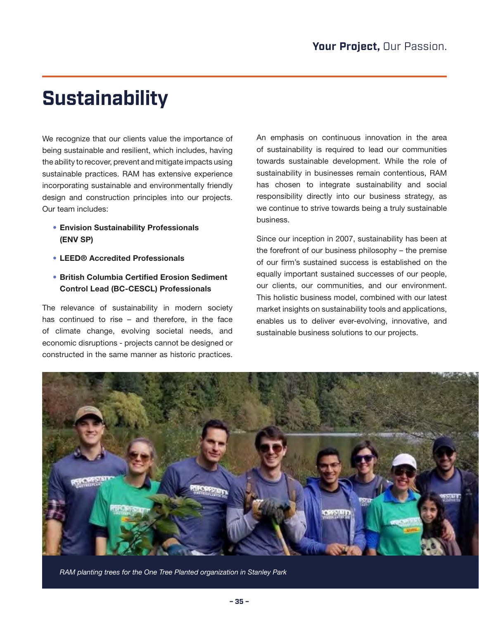## **Sustainability**

We recognize that our clients value the importance of being sustainable and resilient, which includes, having the ability to recover, prevent and mitigate impacts using sustainable practices. RAM has extensive experience incorporating sustainable and environmentally friendly design and construction principles into our projects. Our team includes:

- Envision Sustainability Professionals (ENV SP)
- LEED® Accredited Professionals
- British Columbia Certified Erosion Sediment Control Lead (BC-CESCL) Professionals

The relevance of sustainability in modern society has continued to rise – and therefore, in the face of climate change, evolving societal needs, and economic disruptions - projects cannot be designed or constructed in the same manner as historic practices.

An emphasis on continuous innovation in the area of sustainability is required to lead our communities towards sustainable development. While the role of sustainability in businesses remain contentious, RAM has chosen to integrate sustainability and social responsibility directly into our business strategy, as we continue to strive towards being a truly sustainable business.

Since our inception in 2007, sustainability has been at the forefront of our business philosophy – the premise of our firm's sustained success is established on the equally important sustained successes of our people, our clients, our communities, and our environment. This holistic business model, combined with our latest market insights on sustainability tools and applications, enables us to deliver ever-evolving, innovative, and sustainable business solutions to our projects.



*RAM planting trees for the One Tree Planted organization in Stanley Park*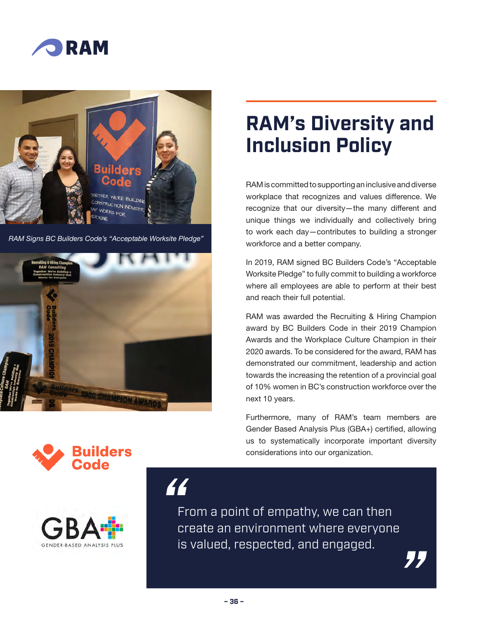



*RAM Signs BC Builders Code's "Acceptable Worksite Pledge"*







# **RAM's Diversity and Inclusion Policy**

RAM is committed to supporting an inclusive and diverse workplace that recognizes and values difference. We recognize that our diversity—the many different and unique things we individually and collectively bring to work each day—contributes to building a stronger workforce and a better company.

In 2019, RAM signed BC Builders Code's "Acceptable Worksite Pledge" to fully commit to building a workforce where all employees are able to perform at their best and reach their full potential.

RAM was awarded the Recruiting & Hiring Champion award by BC Builders Code in their 2019 Champion Awards and the Workplace Culture Champion in their 2020 awards. To be considered for the award, RAM has demonstrated our commitment, leadership and action towards the increasing the retention of a provincial goal of 10% women in BC's construction workforce over the next 10 years.

Furthermore, many of RAM's team members are Gender Based Analysis Plus (GBA+) certified, allowing us to systematically incorporate important diversity considerations into our organization.

"

From a point of empathy, we can then create an environment where everyone is valued, respected, and engaged.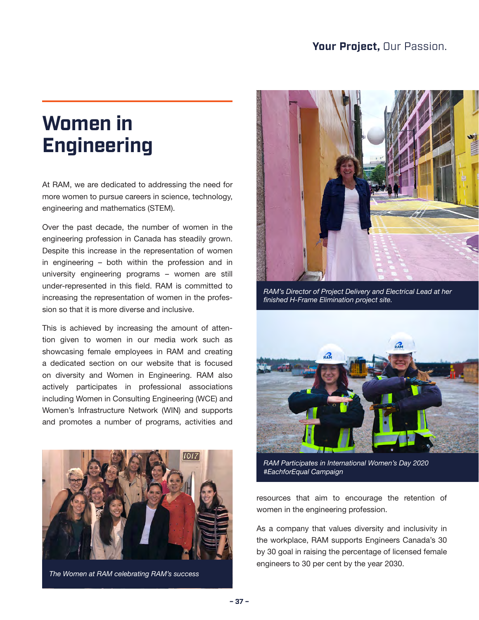### **Women in Engineering**

At RAM, we are dedicated to addressing the need for more women to pursue careers in science, technology, engineering and mathematics (STEM).

Over the past decade, the number of women in the engineering profession in Canada has steadily grown. Despite this increase in the representation of women in engineering – both within the profession and in university engineering programs – women are still under-represented in this field. RAM is committed to increasing the representation of women in the profession so that it is more diverse and inclusive.

This is achieved by increasing the amount of attention given to women in our media work such as showcasing female employees in RAM and creating a dedicated section on our website that is focused on diversity and Women in Engineering. RAM also actively participates in professional associations including Women in Consulting Engineering (WCE) and Women's Infrastructure Network (WIN) and supports and promotes a number of programs, activities and



*The Women at RAM celebrating RAM's success*



*RAM's Director of Project Delivery and Electrical Lead at her finished H-Frame Elimination project site.*



*RAM Participates in International Women's Day 2020 #EachforEqual Campaign*

resources that aim to encourage the retention of women in the engineering profession.

As a company that values diversity and inclusivity in the workplace, RAM supports Engineers Canada's 30 by 30 goal in raising the percentage of licensed female engineers to 30 per cent by the year 2030.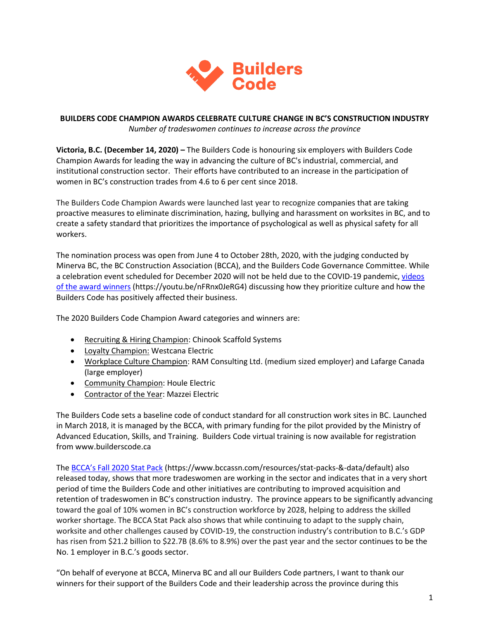

#### **BUILDERS CODE CHAMPION AWARDS CELEBRATE CULTURE CHANGE IN BC'S CONSTRUCTION INDUSTRY** *Number of tradeswomen continues to increase across the province*

**Victoria, B.C. (December 14, 2020) –** The Builders Code is honouring six employers with Builders Code Champion Awards for leading the way in advancing the culture of BC's industrial, commercial, and institutional construction sector. Their efforts have contributed to an increase in the participation of women in BC's construction trades from 4.6 to 6 per cent since 2018.

The Builders Code Champion Awards were launched last year to recognize companies that are taking proactive measures to eliminate discrimination, hazing, bullying and harassment on worksites in BC, and to create a safety standard that prioritizes the importance of psychological as well as physical safety for all workers.

The nomination process was open from June 4 to October 28th, 2020, with the judging conducted by Minerva BC, the BC Construction Association (BCCA), and the Builders Code Governance Committee. While a celebration event scheduled for December 2020 will not be held due to the COVID-19 pandemic[, videos](https://youtu.be/nFRnx0JeRG4)  [of the award winners](https://youtu.be/nFRnx0JeRG4) (https://youtu.be/nFRnx0JeRG4) discussing how they prioritize culture and how the Builders Code has positively affected their business.

The 2020 Builders Code Champion Award categories and winners are:

- Recruiting & Hiring Champion: Chinook Scaffold Systems
- Loyalty Champion: Westcana Electric
- Workplace Culture Champion: RAM Consulting Ltd. (medium sized employer) and Lafarge Canada (large employer)
- Community Champion: Houle Electric
- Contractor of the Year: Mazzei Electric

The Builders Code sets a baseline code of conduct standard for all construction work sites in BC. Launched in March 2018, it is managed by the BCCA, with primary funding for the pilot provided by the Ministry of Advanced Education, Skills, and Training. Builders Code virtual training is now available for registration from www.builderscode.ca

The [BCCA's Fall 2020 Stat Pack](https://www.bccassn.com/resources/stat-packs-&-data/default) (https://www.bccassn.com/resources/stat-packs-&-data/default) also released today, shows that more tradeswomen are working in the sector and indicates that in a very short period of time the Builders Code and other initiatives are contributing to improved acquisition and retention of tradeswomen in BC's construction industry. The province appears to be significantly advancing toward the goal of 10% women in BC's construction workforce by 2028, helping to address the skilled worker shortage. The BCCA Stat Pack also shows that while continuing to adapt to the supply chain, worksite and other challenges caused by COVID-19, the construction industry's contribution to B.C.'s GDP has risen from \$21.2 billion to \$22.7B (8.6% to 8.9%) over the past year and the sector continues to be the No. 1 employer in B.C.'s goods sector.

"On behalf of everyone at BCCA, Minerva BC and all our Builders Code partners, I want to thank our winners for their support of the Builders Code and their leadership across the province during this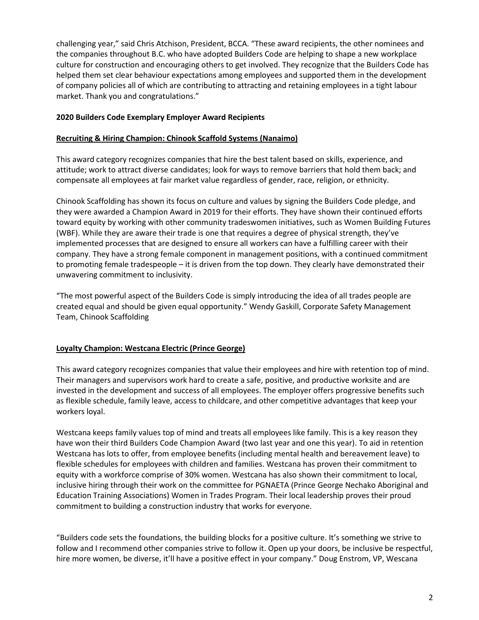challenging year," said Chris Atchison, President, BCCA. "These award recipients, the other nominees and the companies throughout B.C. who have adopted Builders Code are helping to shape a new workplace culture for construction and encouraging others to get involved. They recognize that the Builders Code has helped them set clear behaviour expectations among employees and supported them in the development of company policies all of which are contributing to attracting and retaining employees in a tight labour market. Thank you and congratulations."

#### **2020 Builders Code Exemplary Employer Award Recipients**

#### **Recruiting & Hiring Champion: Chinook Scaffold Systems (Nanaimo)**

This award category recognizes companies that hire the best talent based on skills, experience, and attitude; work to attract diverse candidates; look for ways to remove barriers that hold them back; and compensate all employees at fair market value regardless of gender, race, religion, or ethnicity.

Chinook Scaffolding has shown its focus on culture and values by signing the Builders Code pledge, and they were awarded a Champion Award in 2019 for their efforts. They have shown their continued efforts toward equity by working with other community tradeswomen initiatives, such as Women Building Futures (WBF). While they are aware their trade is one that requires a degree of physical strength, they've implemented processes that are designed to ensure all workers can have a fulfilling career with their company. They have a strong female component in management positions, with a continued commitment to promoting female tradespeople – it is driven from the top down. They clearly have demonstrated their unwavering commitment to inclusivity.

"The most powerful aspect of the Builders Code is simply introducing the idea of all trades people are created equal and should be given equal opportunity." Wendy Gaskill, Corporate Safety Management Team, Chinook Scaffolding

#### **Loyalty Champion: Westcana Electric (Prince George)**

This award category recognizes companies that value their employees and hire with retention top of mind. Their managers and supervisors work hard to create a safe, positive, and productive worksite and are invested in the development and success of all employees. The employer offers progressive benefits such as flexible schedule, family leave, access to childcare, and other competitive advantages that keep your workers loyal.

Westcana keeps family values top of mind and treats all employees like family. This is a key reason they have won their third Builders Code Champion Award (two last year and one this year). To aid in retention Westcana has lots to offer, from employee benefits (including mental health and bereavement leave) to flexible schedules for employees with children and families. Westcana has proven their commitment to equity with a workforce comprise of 30% women. Westcana has also shown their commitment to local, inclusive hiring through their work on the committee for PGNAETA (Prince George Nechako Aboriginal and Education Training Associations) Women in Trades Program. Their local leadership proves their proud commitment to building a construction industry that works for everyone.

"Builders code sets the foundations, the building blocks for a positive culture. It's something we strive to follow and I recommend other companies strive to follow it. Open up your doors, be inclusive be respectful, hire more women, be diverse, it'll have a positive effect in your company." Doug Enstrom, VP, Wescana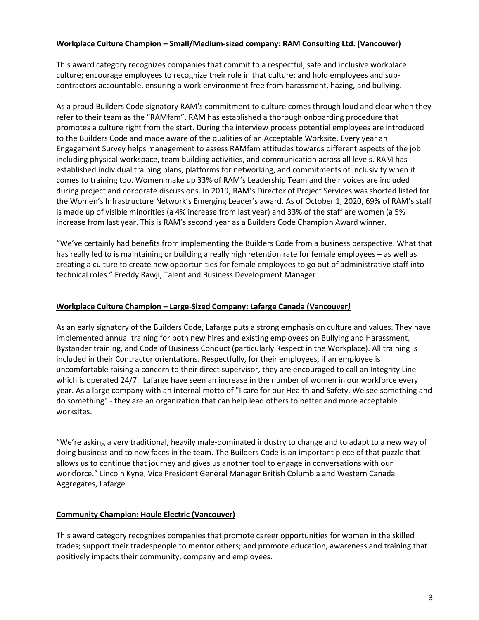#### **Workplace Culture Champion – Small/Medium-sized company: RAM Consulting Ltd. (Vancouver)**

This award category recognizes companies that commit to a respectful, safe and inclusive workplace culture; encourage employees to recognize their role in that culture; and hold employees and subcontractors accountable, ensuring a work environment free from harassment, hazing, and bullying.

As a proud Builders Code signatory RAM's commitment to culture comes through loud and clear when they refer to their team as the "RAMfam". RAM has established a thorough onboarding procedure that promotes a culture right from the start. During the interview process potential employees are introduced to the Builders Code and made aware of the qualities of an Acceptable Worksite. Every year an Engagement Survey helps management to assess RAMfam attitudes towards different aspects of the job including physical workspace, team building activities, and communication across all levels. RAM has established individual training plans, platforms for networking, and commitments of inclusivity when it comes to training too. Women make up 33% of RAM's Leadership Team and their voices are included during project and corporate discussions. In 2019, RAM's Director of Project Services was shorted listed for the Women's Infrastructure Network's Emerging Leader's award. As of October 1, 2020, 69% of RAM's staff is made up of visible minorities (a 4% increase from last year) and 33% of the staff are women (a 5% increase from last year. This is RAM's second year as a Builders Code Champion Award winner.

"We've certainly had benefits from implementing the Builders Code from a business perspective. What that has really led to is maintaining or building a really high retention rate for female employees – as well as creating a culture to create new opportunities for female employees to go out of administrative staff into technical roles." Freddy Rawji, Talent and Business Development Manager

#### **Workplace Culture Champion – Large**-**Sized Company: Lafarge Canada (Vancouver***)*

As an early signatory of the Builders Code, Lafarge puts a strong emphasis on culture and values. They have implemented annual training for both new hires and existing employees on Bullying and Harassment, Bystander training, and Code of Business Conduct (particularly Respect in the Workplace). All training is included in their Contractor orientations. Respectfully, for their employees, if an employee is uncomfortable raising a concern to their direct supervisor, they are encouraged to call an Integrity Line which is operated 24/7. Lafarge have seen an increase in the number of women in our workforce every year. As a large company with an internal motto of "I care for our Health and Safety. We see something and do something" - they are an organization that can help lead others to better and more acceptable worksites.

"We're asking a very traditional, heavily male-dominated industry to change and to adapt to a new way of doing business and to new faces in the team. The Builders Code is an important piece of that puzzle that allows us to continue that journey and gives us another tool to engage in conversations with our workforce." Lincoln Kyne, Vice President General Manager British Columbia and Western Canada Aggregates, Lafarge

#### **Community Champion: Houle Electric (Vancouver)**

This award category recognizes companies that promote career opportunities for women in the skilled trades; support their tradespeople to mentor others; and promote education, awareness and training that positively impacts their community, company and employees.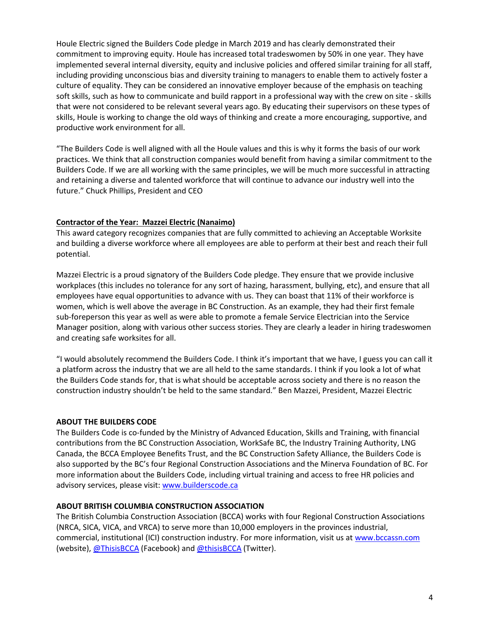Houle Electric signed the Builders Code pledge in March 2019 and has clearly demonstrated their commitment to improving equity. Houle has increased total tradeswomen by 50% in one year. They have implemented several internal diversity, equity and inclusive policies and offered similar training for all staff, including providing unconscious bias and diversity training to managers to enable them to actively foster a culture of equality. They can be considered an innovative employer because of the emphasis on teaching soft skills, such as how to communicate and build rapport in a professional way with the crew on site - skills that were not considered to be relevant several years ago. By educating their supervisors on these types of skills, Houle is working to change the old ways of thinking and create a more encouraging, supportive, and productive work environment for all.

"The Builders Code is well aligned with all the Houle values and this is why it forms the basis of our work practices. We think that all construction companies would benefit from having a similar commitment to the Builders Code. If we are all working with the same principles, we will be much more successful in attracting and retaining a diverse and talented workforce that will continue to advance our industry well into the future." Chuck Phillips, President and CEO

#### **Contractor of the Year: Mazzei Electric (Nanaimo)**

This award category recognizes companies that are fully committed to achieving an Acceptable Worksite and building a diverse workforce where all employees are able to perform at their best and reach their full potential.

Mazzei Electric is a proud signatory of the Builders Code pledge. They ensure that we provide inclusive workplaces (this includes no tolerance for any sort of hazing, harassment, bullying, etc), and ensure that all employees have equal opportunities to advance with us. They can boast that 11% of their workforce is women, which is well above the average in BC Construction. As an example, they had their first female sub-foreperson this year as well as were able to promote a female Service Electrician into the Service Manager position, along with various other success stories. They are clearly a leader in hiring tradeswomen and creating safe worksites for all.

"I would absolutely recommend the Builders Code. I think it's important that we have, I guess you can call it a platform across the industry that we are all held to the same standards. I think if you look a lot of what the Builders Code stands for, that is what should be acceptable across society and there is no reason the construction industry shouldn't be held to the same standard." Ben Mazzei, President, Mazzei Electric

#### **ABOUT THE BUILDERS CODE**

The Builders Code is co-funded by the Ministry of Advanced Education, Skills and Training, with financial contributions from the BC Construction Association, WorkSafe BC, the Industry Training Authority, LNG Canada, the BCCA Employee Benefits Trust, and the BC Construction Safety Alliance, the Builders Code is also supported by the BC's four Regional Construction Associations and the Minerva Foundation of BC. For more information about the Builders Code, including virtual training and access to free HR policies and advisory services, please visit: [www.builderscode.ca](http://www.builderscode.ca/)

#### **ABOUT BRITISH COLUMBIA CONSTRUCTION ASSOCIATION**

The British Columbia Construction Association (BCCA) works with four Regional Construction Associations (NRCA, SICA, VICA, and VRCA) to serve more than 10,000 employers in the provinces industrial, commercial, institutional (ICI) construction industry. For more information, visit us a[t www.bccassn.com](http://www.bccassn.com/) (website), [@ThisisBCCA](https://www.facebook.com/ThisisBCCA/) (Facebook) an[d @thisisBCCA](https://twitter.com/thisisBCCA) (Twitter).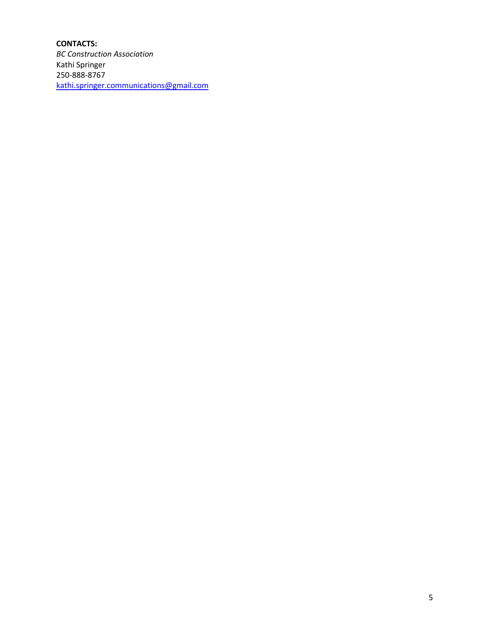### **CONTACTS:**

*BC Construction Association* Kathi Springer 250-888-8767 [kathi.springer.communications@gmail.com](mailto:kathi.springer.communications@gmail.com)